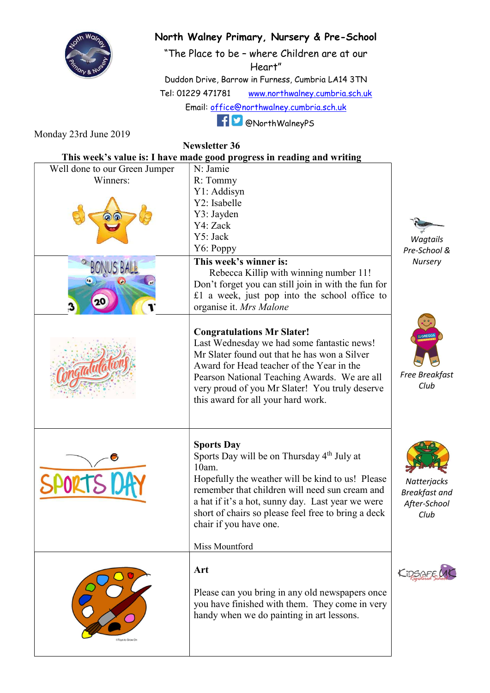

## North Walney Primary, Nursery & Pre-School

"The Place to be – where Children are at our Heart"

Duddon Drive, Barrow in Furness, Cumbria LA14 3TN Tel: 01229 471781 www.northwalney.cumbria.sch.uk Email: office@northwalney.cumbria.sch.uk

@NorthWalneyPS

Monday 23rd June 2019

Newsletter 36

| This week's value is: I have made good progress in reading and writing |                                                                                                                                                                                                                                                                                                                                                    |                                                             |
|------------------------------------------------------------------------|----------------------------------------------------------------------------------------------------------------------------------------------------------------------------------------------------------------------------------------------------------------------------------------------------------------------------------------------------|-------------------------------------------------------------|
| Well done to our Green Jumper                                          | N: Jamie                                                                                                                                                                                                                                                                                                                                           |                                                             |
| Winners:                                                               | R: Tommy                                                                                                                                                                                                                                                                                                                                           |                                                             |
|                                                                        | Y1: Addisyn                                                                                                                                                                                                                                                                                                                                        |                                                             |
|                                                                        | Y2: Isabelle                                                                                                                                                                                                                                                                                                                                       |                                                             |
|                                                                        | Y3: Jayden                                                                                                                                                                                                                                                                                                                                         |                                                             |
|                                                                        | Y4: Zack                                                                                                                                                                                                                                                                                                                                           |                                                             |
|                                                                        | Y5: Jack                                                                                                                                                                                                                                                                                                                                           | Wagtails                                                    |
|                                                                        | Y6: Poppy                                                                                                                                                                                                                                                                                                                                          | Pre-School &                                                |
|                                                                        | This week's winner is:<br>Rebecca Killip with winning number 11!<br>Don't forget you can still join in with the fun for                                                                                                                                                                                                                            | Nursery                                                     |
|                                                                        | £1 a week, just pop into the school office to<br>organise it. Mrs Malone                                                                                                                                                                                                                                                                           |                                                             |
|                                                                        | <b>Congratulations Mr Slater!</b><br>Last Wednesday we had some fantastic news!<br>Mr Slater found out that he has won a Silver<br>Award for Head teacher of the Year in the<br>Pearson National Teaching Awards. We are all<br>very proud of you Mr Slater! You truly deserve<br>this award for all your hard work.                               | <b>:GREGO</b><br><b>Free Breakfast</b><br>Club              |
| <b>SPORTS DA</b>                                                       | <b>Sports Day</b><br>Sports Day will be on Thursday 4 <sup>th</sup> July at<br>10am.<br>Hopefully the weather will be kind to us! Please<br>remember that children will need sun cream and<br>a hat if it's a hot, sunny day. Last year we were<br>short of chairs so please feel free to bring a deck<br>chair if you have one.<br>Miss Mountford | Natterjacks<br><b>Breakfast and</b><br>After-School<br>Club |
| OToys to Grow On                                                       | Art<br>Please can you bring in any old newspapers once<br>you have finished with them. They come in very<br>handy when we do painting in art lessons.                                                                                                                                                                                              |                                                             |